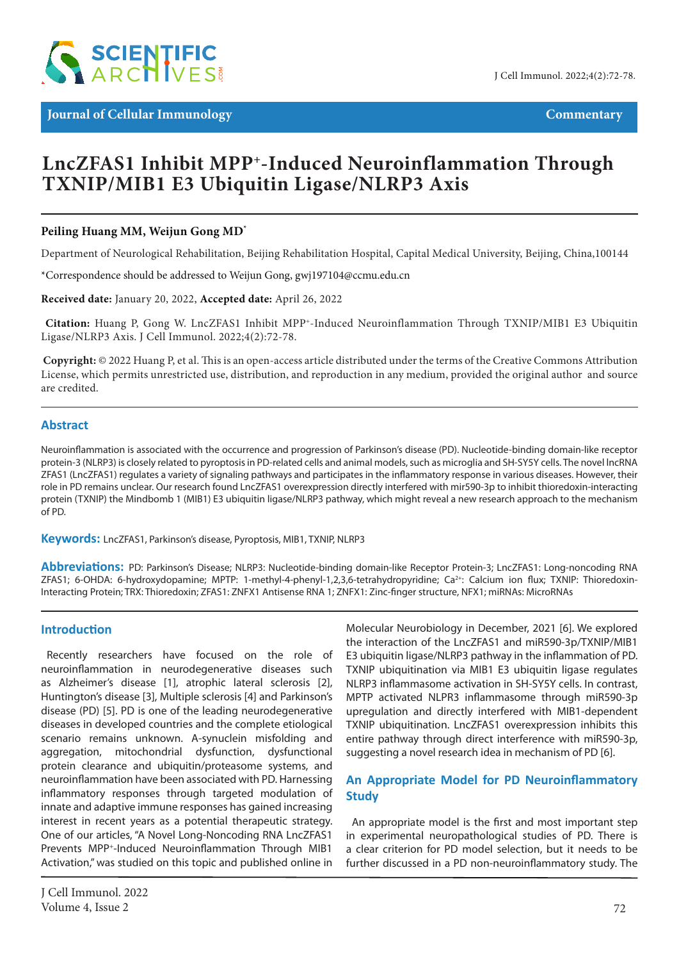

**Journal of Cellular Immunology Commentary** 

# **LncZFAS1 Inhibit MPP+-Induced Neuroinflammation Through TXNIP/MIB1 E3 Ubiquitin Ligase/NLRP3 Axis**

### **Peiling Huang MM, Weijun Gong MD\***

Department of Neurological Rehabilitation, Beijing Rehabilitation Hospital, Capital Medical University, Beijing, China,100144

\*Correspondence should be addressed to Weijun Gong, gwj197104@ccmu.edu.cn

**Received date:** January 20, 2022, **Accepted date:** April 26, 2022

**Citation:** Huang P, Gong W. LncZFAS1 Inhibit MPP+-Induced Neuroinflammation Through TXNIP/MIB1 E3 Ubiquitin Ligase/NLRP3 Axis. J Cell Immunol. 2022;4(2):72-78.

 **Copyright:** © 2022 Huang P, et al. This is an open-access article distributed under the terms of the Creative Commons Attribution License, which permits unrestricted use, distribution, and reproduction in any medium, provided the original author and source are credited.

#### **Abstract**

Neuroinflammation is associated with the occurrence and progression of Parkinson's disease (PD). Nucleotide-binding domain-like receptor protein-3 (NLRP3) is closely related to pyroptosis in PD-related cells and animal models, such as microglia and SH-SY5Y cells. The novel lncRNA ZFAS1 (LncZFAS1) regulates a variety of signaling pathways and participates in the inflammatory response in various diseases. However, their role in PD remains unclear. Our research found LncZFAS1 overexpression directly interfered with mir590-3p to inhibit thioredoxin-interacting protein (TXNIP) the Mindbomb 1 (MIB1) E3 ubiquitin ligase/NLRP3 pathway, which might reveal a new research approach to the mechanism of PD.

**Keywords:** LncZFAS1, Parkinson's disease, Pyroptosis, MIB1, TXNIP, NLRP3

**Abbreviations:** PD: Parkinson's Disease; NLRP3: Nucleotide-binding domain-like Receptor Protein-3; LncZFAS1: Long-noncoding RNA ZFAS1; 6-OHDA: 6-hydroxydopamine; MPTP: 1-methyl-4-phenyl-1,2,3,6-tetrahydropyridine; Ca<sup>2+</sup>: Calcium ion flux; TXNIP: Thioredoxin-Interacting Protein; TRX: Thioredoxin; ZFAS1: ZNFX1 Antisense RNA 1; ZNFX1: Zinc-finger structure, NFX1; miRNAs: MicroRNAs

#### **Introduction**

Recently researchers have focused on the role of neuroinflammation in neurodegenerative diseases such as Alzheimer's disease [1], atrophic lateral sclerosis [2], Huntington's disease [3], Multiple sclerosis [4] and Parkinson's disease (PD) [5]. PD is one of the leading neurodegenerative diseases in developed countries and the complete etiological scenario remains unknown. A-synuclein misfolding and aggregation, mitochondrial dysfunction, dysfunctional protein clearance and ubiquitin/proteasome systems, and neuroinflammation have been associated with PD. Harnessing inflammatory responses through targeted modulation of innate and adaptive immune responses has gained increasing interest in recent years as a potential therapeutic strategy. One of our articles, "A Novel Long-Noncoding RNA LncZFAS1 Prevents MPP+-Induced Neuroinflammation Through MIB1 Activation," was studied on this topic and published online in

Molecular Neurobiology in December, 2021 [6]. We explored the interaction of the LncZFAS1 and miR590-3p/TXNIP/MIB1 E3 ubiquitin ligase/NLRP3 pathway in the inflammation of PD. TXNIP ubiquitination via MIB1 E3 ubiquitin ligase regulates NLRP3 inflammasome activation in SH-SY5Y cells. In contrast, MPTP activated NLPR3 inflammasome through miR590-3p upregulation and directly interfered with MIB1-dependent TXNIP ubiquitination. LncZFAS1 overexpression inhibits this entire pathway through direct interference with miR590-3p, suggesting a novel research idea in mechanism of PD [6].

### **An Appropriate Model for PD Neuroinflammatory Study**

An appropriate model is the first and most important step in experimental neuropathological studies of PD. There is a clear criterion for PD model selection, but it needs to be further discussed in a PD non-neuroinflammatory study. The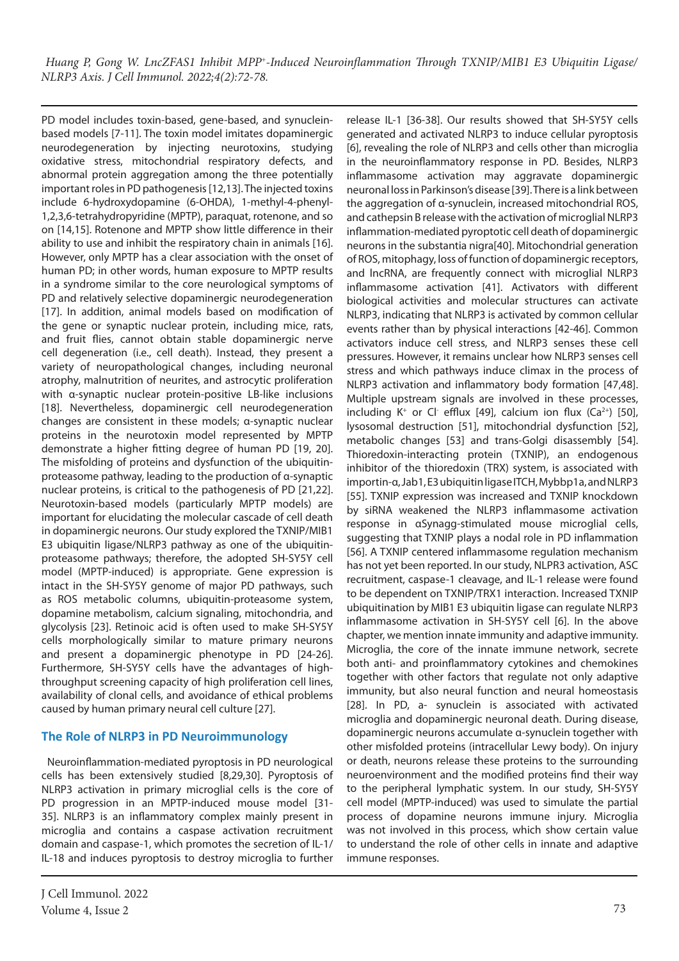PD model includes toxin-based, gene-based, and synucleinbased models [7-11]. The toxin model imitates dopaminergic neurodegeneration by injecting neurotoxins, studying oxidative stress, mitochondrial respiratory defects, and abnormal protein aggregation among the three potentially important roles in PD pathogenesis [12,13]. The injected toxins include 6-hydroxydopamine (6-OHDA), 1-methyl-4-phenyl-1,2,3,6-tetrahydropyridine (MPTP), paraquat, rotenone, and so on [14,15]. Rotenone and MPTP show little difference in their ability to use and inhibit the respiratory chain in animals [16]. However, only MPTP has a clear association with the onset of human PD; in other words, human exposure to MPTP results in a syndrome similar to the core neurological symptoms of PD and relatively selective dopaminergic neurodegeneration [17]. In addition, animal models based on modification of the gene or synaptic nuclear protein, including mice, rats, and fruit flies, cannot obtain stable dopaminergic nerve cell degeneration (i.e., cell death). Instead, they present a variety of neuropathological changes, including neuronal atrophy, malnutrition of neurites, and astrocytic proliferation with α-synaptic nuclear protein-positive LB-like inclusions [18]. Nevertheless, dopaminergic cell neurodegeneration changes are consistent in these models; α-synaptic nuclear proteins in the neurotoxin model represented by MPTP demonstrate a higher fitting degree of human PD [19, 20]. The misfolding of proteins and dysfunction of the ubiquitinproteasome pathway, leading to the production of α-synaptic nuclear proteins, is critical to the pathogenesis of PD [21,22]. Neurotoxin-based models (particularly MPTP models) are important for elucidating the molecular cascade of cell death in dopaminergic neurons. Our study explored the TXNIP/MIB1 E3 ubiquitin ligase/NLRP3 pathway as one of the ubiquitinproteasome pathways; therefore, the adopted SH-SY5Y cell model (MPTP-induced) is appropriate. Gene expression is intact in the SH-SY5Y genome of major PD pathways, such as ROS metabolic columns, ubiquitin-proteasome system, dopamine metabolism, calcium signaling, mitochondria, and glycolysis [23]. Retinoic acid is often used to make SH-SY5Y cells morphologically similar to mature primary neurons and present a dopaminergic phenotype in PD [24-26]. Furthermore, SH-SY5Y cells have the advantages of highthroughput screening capacity of high proliferation cell lines, availability of clonal cells, and avoidance of ethical problems caused by human primary neural cell culture [27].

# **The Role of NLRP3 in PD Neuroimmunology**

Neuroinflammation-mediated pyroptosis in PD neurological cells has been extensively studied [8,29,30]. Pyroptosis of NLRP3 activation in primary microglial cells is the core of PD progression in an MPTP-induced mouse model [31- 35]. NLRP3 is an inflammatory complex mainly present in microglia and contains a caspase activation recruitment domain and caspase-1, which promotes the secretion of IL-1/ IL-18 and induces pyroptosis to destroy microglia to further

release IL-1 [36-38]. Our results showed that SH-SY5Y cells generated and activated NLRP3 to induce cellular pyroptosis [6], revealing the role of NLRP3 and cells other than microglia in the neuroinflammatory response in PD. Besides, NLRP3 inflammasome activation may aggravate dopaminergic neuronal loss in Parkinson's disease [39]. There is a link between the aggregation of α-synuclein, increased mitochondrial ROS, and cathepsin B release with the activation of microglial NLRP3 inflammation-mediated pyroptotic cell death of dopaminergic neurons in the substantia nigra[40]. Mitochondrial generation of ROS, mitophagy, loss of function of dopaminergic receptors, and lncRNA, are frequently connect with microglial NLRP3 inflammasome activation [41]. Activators with different biological activities and molecular structures can activate NLRP3, indicating that NLRP3 is activated by common cellular events rather than by physical interactions [42-46]. Common activators induce cell stress, and NLRP3 senses these cell pressures. However, it remains unclear how NLRP3 senses cell stress and which pathways induce climax in the process of NLRP3 activation and inflammatory body formation [47,48]. Multiple upstream signals are involved in these processes, including  $K^+$  or Cl efflux [49], calcium ion flux (Ca<sup>2+</sup>) [50], lysosomal destruction [51], mitochondrial dysfunction [52], metabolic changes [53] and trans-Golgi disassembly [54]. Thioredoxin-interacting protein (TXNIP), an endogenous inhibitor of the thioredoxin (TRX) system, is associated with importin-α, Jab1, E3 ubiquitin ligase ITCH, Mybbp1a, and NLRP3 [55]. TXNIP expression was increased and TXNIP knockdown by siRNA weakened the NLRP3 inflammasome activation response in αSynagg-stimulated mouse microglial cells, suggesting that TXNIP plays a nodal role in PD inflammation [56]. A TXNIP centered inflammasome regulation mechanism has not yet been reported. In our study, NLPR3 activation, ASC recruitment, caspase-1 cleavage, and IL-1 release were found to be dependent on TXNIP/TRX1 interaction. Increased TXNIP ubiquitination by MIB1 E3 ubiquitin ligase can regulate NLRP3 inflammasome activation in SH-SY5Y cell [6]. In the above chapter, we mention innate immunity and adaptive immunity. Microglia, the core of the innate immune network, secrete both anti- and proinflammatory cytokines and chemokines together with other factors that regulate not only adaptive immunity, but also neural function and neural homeostasis [28]. In PD, a- synuclein is associated with activated microglia and dopaminergic neuronal death. During disease, dopaminergic neurons accumulate α-synuclein together with other misfolded proteins (intracellular Lewy body). On injury or death, neurons release these proteins to the surrounding neuroenvironment and the modified proteins find their way to the peripheral lymphatic system. In our study, SH-SY5Y cell model (MPTP-induced) was used to simulate the partial process of dopamine neurons immune injury. Microglia was not involved in this process, which show certain value to understand the role of other cells in innate and adaptive immune responses.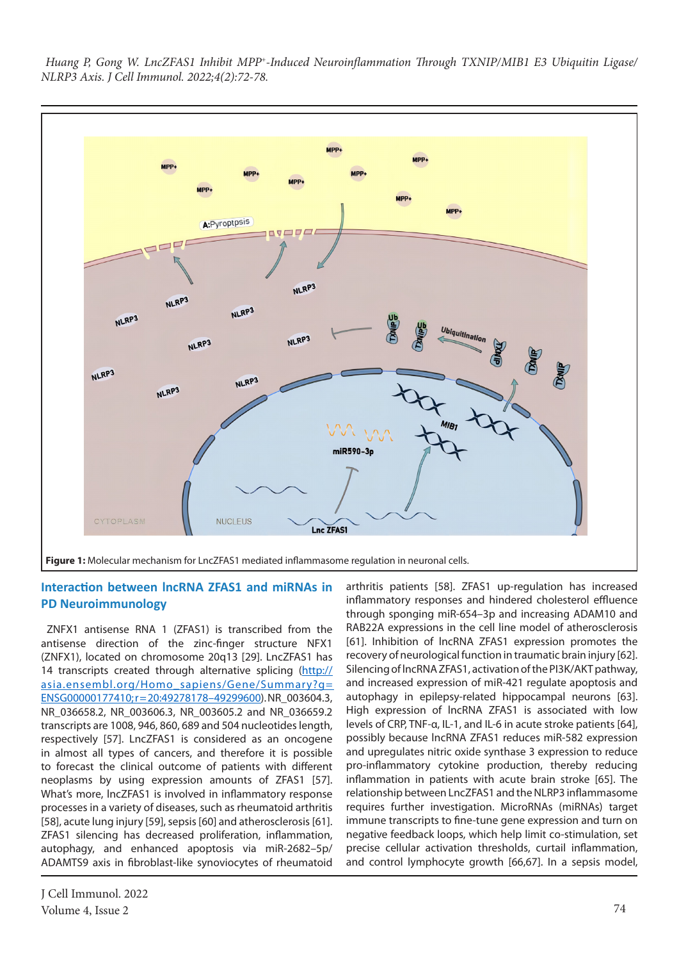

# **Interaction between lncRNA ZFAS1 and miRNAs in PD Neuroimmunology**

ZNFX1 antisense RNA 1 (ZFAS1) is transcribed from the antisense direction of the zinc-finger structure NFX1 (ZNFX1), located on chromosome 20q13 [29]. LncZFAS1 has 14 transcripts created through alternative splicing ([http://](http://asia.ensembl.org/Homo_sapiens/Gene/Summary?g=ENSG00000177410;r=20:49278178%E2%80%9349299600) [asia.ensembl.org/Homo\\_sapiens/Gene/Summary?g=](http://asia.ensembl.org/Homo_sapiens/Gene/Summary?g=ENSG00000177410;r=20:49278178%E2%80%9349299600)  [ENSG00000177410; r = 20:49278178–49299600\)](http://asia.ensembl.org/Homo_sapiens/Gene/Summary?g=ENSG00000177410;r=20:49278178%E2%80%9349299600). NR\_003604.3, NR\_036658.2, NR\_003606.3, NR\_003605.2 and NR\_036659.2 transcripts are 1008, 946, 860, 689 and 504 nucleotides length, respectively [57]. LncZFAS1 is considered as an oncogene in almost all types of cancers, and therefore it is possible to forecast the clinical outcome of patients with different neoplasms by using expression amounts of ZFAS1 [57]. What's more, lncZFAS1 is involved in inflammatory response processes in a variety of diseases, such as rheumatoid arthritis [58], acute lung injury [59], sepsis [60] and atherosclerosis [61]. ZFAS1 silencing has decreased proliferation, inflammation, autophagy, and enhanced apoptosis via miR-2682–5p/ ADAMTS9 axis in fibroblast-like synoviocytes of rheumatoid

arthritis patients [58]. ZFAS1 up-regulation has increased inflammatory responses and hindered cholesterol effluence through sponging miR-654–3p and increasing ADAM10 and RAB22A expressions in the cell line model of atherosclerosis [61]. Inhibition of lncRNA ZFAS1 expression promotes the recovery of neurological function in traumatic brain injury [62]. Silencing of lncRNA ZFAS1, activation of the PI3K/AKT pathway, and increased expression of miR-421 regulate apoptosis and autophagy in epilepsy-related hippocampal neurons [63]. High expression of lncRNA ZFAS1 is associated with low levels of CRP, TNF-α, IL-1, and IL-6 in acute stroke patients [64], possibly because lncRNA ZFAS1 reduces miR-582 expression and upregulates nitric oxide synthase 3 expression to reduce pro-inflammatory cytokine production, thereby reducing inflammation in patients with acute brain stroke [65]. The relationship between LncZFAS1 and the NLRP3 inflammasome requires further investigation. MicroRNAs (miRNAs) target immune transcripts to fine-tune gene expression and turn on negative feedback loops, which help limit co-stimulation, set precise cellular activation thresholds, curtail inflammation, and control lymphocyte growth [66,67]. In a sepsis model,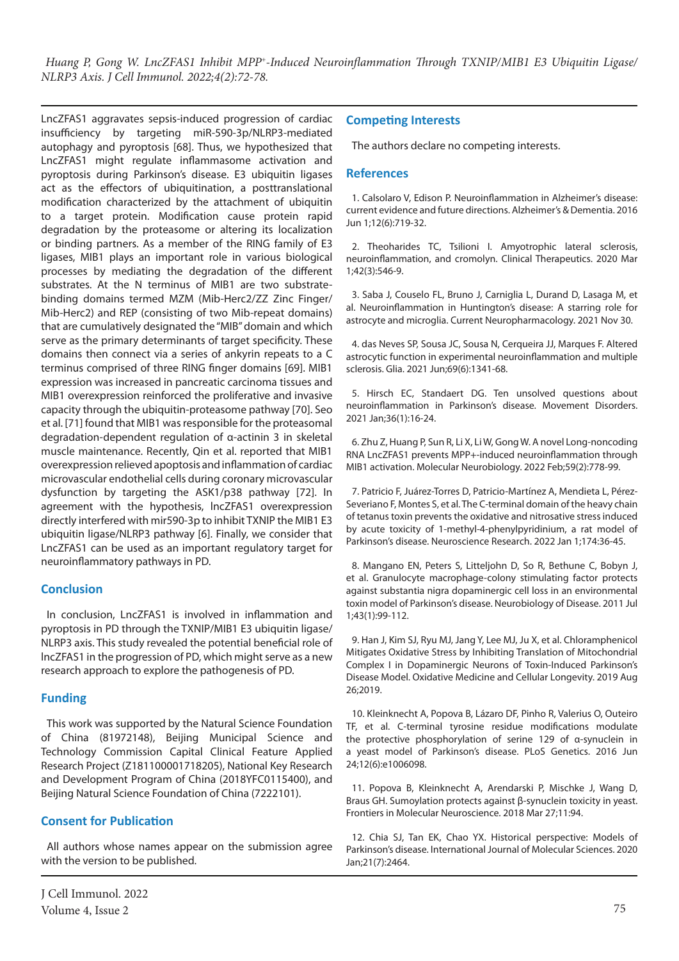LncZFAS1 aggravates sepsis-induced progression of cardiac insufficiency by targeting miR-590-3p/NLRP3-mediated autophagy and pyroptosis [68]. Thus, we hypothesized that LncZFAS1 might regulate inflammasome activation and pyroptosis during Parkinson's disease. E3 ubiquitin ligases act as the effectors of ubiquitination, a posttranslational modification characterized by the attachment of ubiquitin to a target protein. Modification cause protein rapid degradation by the proteasome or altering its localization or binding partners. As a member of the RING family of E3 ligases, MIB1 plays an important role in various biological processes by mediating the degradation of the different substrates. At the N terminus of MIB1 are two substratebinding domains termed MZM (Mib-Herc2/ZZ Zinc Finger/ Mib-Herc2) and REP (consisting of two Mib-repeat domains) that are cumulatively designated the "MIB" domain and which serve as the primary determinants of target specificity. These domains then connect via a series of ankyrin repeats to a C terminus comprised of three RING finger domains [69]. MIB1 expression was increased in pancreatic carcinoma tissues and MIB1 overexpression reinforced the proliferative and invasive capacity through the ubiquitin-proteasome pathway [70]. Seo et al. [71] found that MIB1 was responsible for the proteasomal degradation-dependent regulation of α-actinin 3 in skeletal muscle maintenance. Recently, Qin et al. reported that MIB1 overexpression relieved apoptosis and inflammation of cardiac microvascular endothelial cells during coronary microvascular dysfunction by targeting the ASK1/p38 pathway [72]. In agreement with the hypothesis, lncZFAS1 overexpression directly interfered with mir590-3p to inhibit TXNIP the MIB1 E3 ubiquitin ligase/NLRP3 pathway [6]. Finally, we consider that LncZFAS1 can be used as an important regulatory target for neuroinflammatory pathways in PD.

# **Conclusion**

In conclusion, LncZFAS1 is involved in inflammation and pyroptosis in PD through the TXNIP/MIB1 E3 ubiquitin ligase/ NLRP3 axis. This study revealed the potential beneficial role of lncZFAS1 in the progression of PD, which might serve as a new research approach to explore the pathogenesis of PD.

# **Funding**

This work was supported by the Natural Science Foundation of China (81972148), Beijing Municipal Science and Technology Commission Capital Clinical Feature Applied Research Project (Z181100001718205), National Key Research and Development Program of China (2018YFC0115400), and Beijing Natural Science Foundation of China (7222101).

# **Consent for Publication**

All authors whose names appear on the submission agree with the version to be published.

#### **Competing Interests**

The authors declare no competing interests.

#### **References**

1. Calsolaro V, Edison P. Neuroinflammation in Alzheimer's disease: current evidence and future directions. Alzheimer's & Dementia. 2016 Jun 1;12(6):719-32.

2. Theoharides TC, Tsilioni I. Amyotrophic lateral sclerosis, neuroinflammation, and cromolyn. Clinical Therapeutics. 2020 Mar 1;42(3):546-9.

3. Saba J, Couselo FL, Bruno J, Carniglia L, Durand D, Lasaga M, et al. Neuroinflammation in Huntington's disease: A starring role for astrocyte and microglia. Current Neuropharmacology. 2021 Nov 30.

4. das Neves SP, Sousa JC, Sousa N, Cerqueira JJ, Marques F. Altered astrocytic function in experimental neuroinflammation and multiple sclerosis. Glia. 2021 Jun;69(6):1341-68.

5. Hirsch EC, Standaert DG. Ten unsolved questions about neuroinflammation in Parkinson's disease. Movement Disorders. 2021 Jan;36(1):16-24.

6. Zhu Z, Huang P, Sun R, Li X, Li W, Gong W. A novel Long-noncoding RNA LncZFAS1 prevents MPP+-induced neuroinflammation through MIB1 activation. Molecular Neurobiology. 2022 Feb;59(2):778-99.

7. Patricio F, Juárez-Torres D, Patricio-Martínez A, Mendieta L, Pérez-Severiano F, Montes S, et al. The C-terminal domain of the heavy chain of tetanus toxin prevents the oxidative and nitrosative stress induced by acute toxicity of 1-methyl-4-phenylpyridinium, a rat model of Parkinson's disease. Neuroscience Research. 2022 Jan 1;174:36-45.

8. Mangano EN, Peters S, Litteljohn D, So R, Bethune C, Bobyn J, et al. Granulocyte macrophage-colony stimulating factor protects against substantia nigra dopaminergic cell loss in an environmental toxin model of Parkinson's disease. Neurobiology of Disease. 2011 Jul 1;43(1):99-112.

9. Han J, Kim SJ, Ryu MJ, Jang Y, Lee MJ, Ju X, et al. Chloramphenicol Mitigates Oxidative Stress by Inhibiting Translation of Mitochondrial Complex I in Dopaminergic Neurons of Toxin-Induced Parkinson's Disease Model. Oxidative Medicine and Cellular Longevity. 2019 Aug 26;2019.

10. Kleinknecht A, Popova B, Lázaro DF, Pinho R, Valerius O, Outeiro TF, et al. C-terminal tyrosine residue modifications modulate the protective phosphorylation of serine 129 of α-synuclein in a yeast model of Parkinson's disease. PLoS Genetics. 2016 Jun 24;12(6):e1006098.

11. Popova B, Kleinknecht A, Arendarski P, Mischke J, Wang D, Braus GH. Sumoylation protects against β-synuclein toxicity in yeast. Frontiers in Molecular Neuroscience. 2018 Mar 27;11:94.

12. Chia SJ, Tan EK, Chao YX. Historical perspective: Models of Parkinson's disease. International Journal of Molecular Sciences. 2020 Jan;21(7):2464.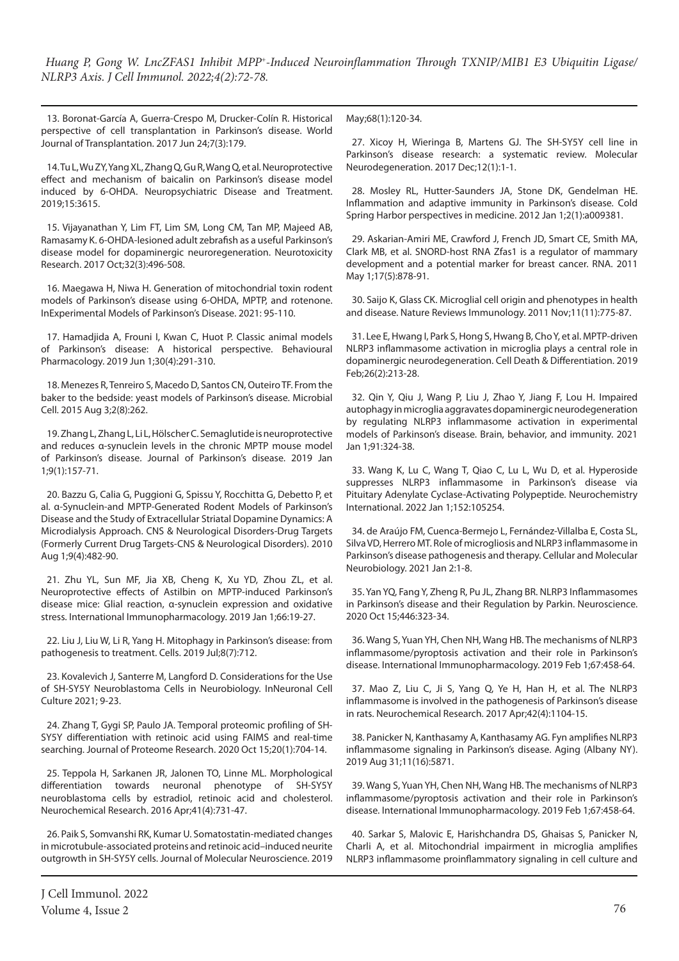13. Boronat-García A, Guerra-Crespo M, Drucker-Colín R. Historical perspective of cell transplantation in Parkinson's disease. World Journal of Transplantation. 2017 Jun 24;7(3):179.

14. Tu L, Wu ZY, Yang XL, Zhang Q, Gu R, Wang Q, et al. Neuroprotective effect and mechanism of baicalin on Parkinson's disease model induced by 6-OHDA. Neuropsychiatric Disease and Treatment. 2019;15:3615.

15. Vijayanathan Y, Lim FT, Lim SM, Long CM, Tan MP, Majeed AB, Ramasamy K. 6-OHDA-lesioned adult zebrafish as a useful Parkinson's disease model for dopaminergic neuroregeneration. Neurotoxicity Research. 2017 Oct;32(3):496-508.

16. Maegawa H, Niwa H. Generation of mitochondrial toxin rodent models of Parkinson's disease using 6-OHDA, MPTP, and rotenone. InExperimental Models of Parkinson's Disease. 2021: 95-110.

17. Hamadjida A, Frouni I, Kwan C, Huot P. Classic animal models of Parkinson's disease: A historical perspective. Behavioural Pharmacology. 2019 Jun 1;30(4):291-310.

18. Menezes R, Tenreiro S, Macedo D, Santos CN, Outeiro TF. From the baker to the bedside: yeast models of Parkinson's disease. Microbial Cell. 2015 Aug 3;2(8):262.

19. Zhang L, Zhang L, Li L, Hölscher C. Semaglutide is neuroprotective and reduces α-synuclein levels in the chronic MPTP mouse model of Parkinson's disease. Journal of Parkinson's disease. 2019 Jan 1;9(1):157-71.

20. Bazzu G, Calia G, Puggioni G, Spissu Y, Rocchitta G, Debetto P, et al. α-Synuclein-and MPTP-Generated Rodent Models of Parkinson's Disease and the Study of Extracellular Striatal Dopamine Dynamics: A Microdialysis Approach. CNS & Neurological Disorders-Drug Targets (Formerly Current Drug Targets-CNS & Neurological Disorders). 2010 Aug 1;9(4):482-90.

21. Zhu YL, Sun MF, Jia XB, Cheng K, Xu YD, Zhou ZL, et al. Neuroprotective effects of Astilbin on MPTP-induced Parkinson's disease mice: Glial reaction, α-synuclein expression and oxidative stress. International Immunopharmacology. 2019 Jan 1;66:19-27.

22. Liu J, Liu W, Li R, Yang H. Mitophagy in Parkinson's disease: from pathogenesis to treatment. Cells. 2019 Jul;8(7):712.

23. Kovalevich J, Santerre M, Langford D. Considerations for the Use of SH-SY5Y Neuroblastoma Cells in Neurobiology. InNeuronal Cell Culture 2021; 9-23.

24. Zhang T, Gygi SP, Paulo JA. Temporal proteomic profiling of SH-SY5Y differentiation with retinoic acid using FAIMS and real-time searching. Journal of Proteome Research. 2020 Oct 15;20(1):704-14.

25. Teppola H, Sarkanen JR, Jalonen TO, Linne ML. Morphological differentiation towards neuronal phenotype of SH-SY5Y neuroblastoma cells by estradiol, retinoic acid and cholesterol. Neurochemical Research. 2016 Apr;41(4):731-47.

26. Paik S, Somvanshi RK, Kumar U. Somatostatin-mediated changes in microtubule-associated proteins and retinoic acid–induced neurite outgrowth in SH-SY5Y cells. Journal of Molecular Neuroscience. 2019 May;68(1):120-34.

27. Xicoy H, Wieringa B, Martens GJ. The SH-SY5Y cell line in Parkinson's disease research: a systematic review. Molecular Neurodegeneration. 2017 Dec;12(1):1-1.

28. Mosley RL, Hutter-Saunders JA, Stone DK, Gendelman HE. Inflammation and adaptive immunity in Parkinson's disease. Cold Spring Harbor perspectives in medicine. 2012 Jan 1;2(1):a009381.

29. Askarian-Amiri ME, Crawford J, French JD, Smart CE, Smith MA, Clark MB, et al. SNORD-host RNA Zfas1 is a regulator of mammary development and a potential marker for breast cancer. RNA. 2011 May 1;17(5):878-91.

30. Saijo K, Glass CK. Microglial cell origin and phenotypes in health and disease. Nature Reviews Immunology. 2011 Nov;11(11):775-87.

31. Lee E, Hwang I, Park S, Hong S, Hwang B, Cho Y, et al. MPTP-driven NLRP3 inflammasome activation in microglia plays a central role in dopaminergic neurodegeneration. Cell Death & Differentiation. 2019 Feb;26(2):213-28.

32. Qin Y, Qiu J, Wang P, Liu J, Zhao Y, Jiang F, Lou H. Impaired autophagy in microglia aggravates dopaminergic neurodegeneration by regulating NLRP3 inflammasome activation in experimental models of Parkinson's disease. Brain, behavior, and immunity. 2021 Jan 1;91:324-38.

33. Wang K, Lu C, Wang T, Qiao C, Lu L, Wu D, et al. Hyperoside suppresses NLRP3 inflammasome in Parkinson's disease via Pituitary Adenylate Cyclase-Activating Polypeptide. Neurochemistry International. 2022 Jan 1;152:105254.

34. de Araújo FM, Cuenca-Bermejo L, Fernández-Villalba E, Costa SL, Silva VD, Herrero MT. Role of microgliosis and NLRP3 inflammasome in Parkinson's disease pathogenesis and therapy. Cellular and Molecular Neurobiology. 2021 Jan 2:1-8.

35. Yan YQ, Fang Y, Zheng R, Pu JL, Zhang BR. NLRP3 Inflammasomes in Parkinson's disease and their Regulation by Parkin. Neuroscience. 2020 Oct 15;446:323-34.

36. Wang S, Yuan YH, Chen NH, Wang HB. The mechanisms of NLRP3 inflammasome/pyroptosis activation and their role in Parkinson's disease. International Immunopharmacology. 2019 Feb 1;67:458-64.

37. Mao Z, Liu C, Ji S, Yang Q, Ye H, Han H, et al. The NLRP3 inflammasome is involved in the pathogenesis of Parkinson's disease in rats. Neurochemical Research. 2017 Apr;42(4):1104-15.

38. Panicker N, Kanthasamy A, Kanthasamy AG. Fyn amplifies NLRP3 inflammasome signaling in Parkinson's disease. Aging (Albany NY). 2019 Aug 31;11(16):5871.

39. Wang S, Yuan YH, Chen NH, Wang HB. The mechanisms of NLRP3 inflammasome/pyroptosis activation and their role in Parkinson's disease. International Immunopharmacology. 2019 Feb 1;67:458-64.

40. Sarkar S, Malovic E, Harishchandra DS, Ghaisas S, Panicker N, Charli A, et al. Mitochondrial impairment in microglia amplifies NLRP3 inflammasome proinflammatory signaling in cell culture and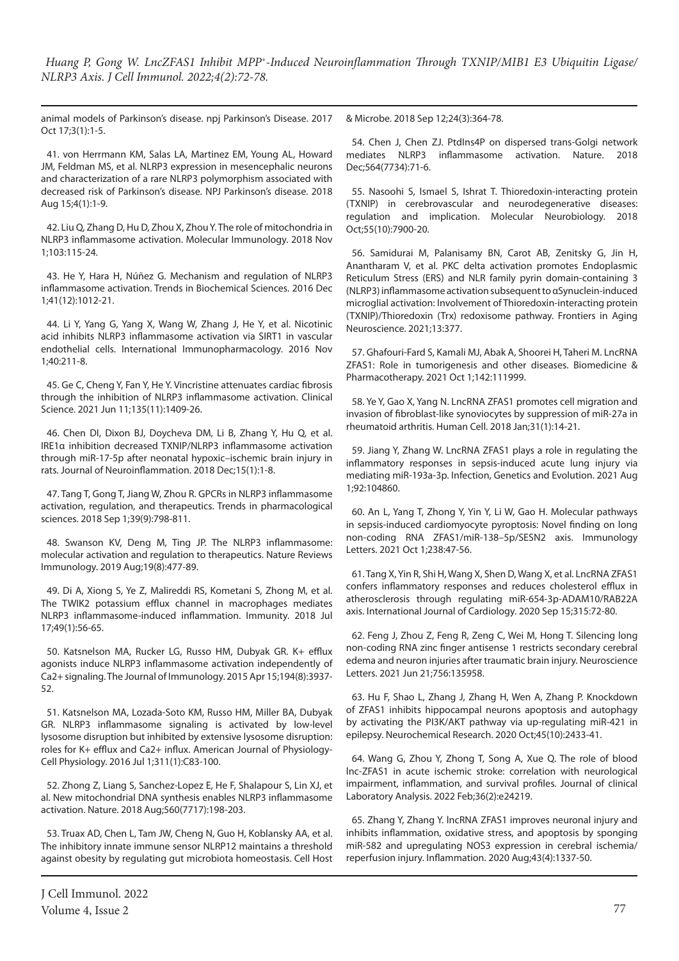animal models of Parkinson's disease. npj Parkinson's Disease. 2017 Oct 17;3(1):1-5.

41. von Herrmann KM, Salas LA, Martinez EM, Young AL, Howard JM, Feldman MS, et al. NLRP3 expression in mesencephalic neurons and characterization of a rare NLRP3 polymorphism associated with decreased risk of Parkinson's disease. NPJ Parkinson's disease. 2018 Aug 15;4(1):1-9.

42. Liu Q, Zhang D, Hu D, Zhou X, Zhou Y. The role of mitochondria in NLRP3 inflammasome activation. Molecular Immunology. 2018 Nov 1;103:115-24.

43. He Y, Hara H, Núñez G. Mechanism and regulation of NLRP3 inflammasome activation. Trends in Biochemical Sciences. 2016 Dec 1;41(12):1012-21.

44. Li Y, Yang G, Yang X, Wang W, Zhang J, He Y, et al. Nicotinic acid inhibits NLRP3 inflammasome activation via SIRT1 in vascular endothelial cells. International Immunopharmacology. 2016 Nov 1;40:211-8.

45. Ge C, Cheng Y, Fan Y, He Y. Vincristine attenuates cardiac fibrosis through the inhibition of NLRP3 inflammasome activation. Clinical Science. 2021 Jun 11;135(11):1409-26.

46. Chen DI, Dixon BJ, Doycheva DM, Li B, Zhang Y, Hu Q, et al. IRE1α inhibition decreased TXNIP/NLRP3 inflammasome activation through miR-17-5p after neonatal hypoxic–ischemic brain injury in rats. Journal of Neuroinflammation. 2018 Dec;15(1):1-8.

47. Tang T, Gong T, Jiang W, Zhou R. GPCRs in NLRP3 inflammasome activation, regulation, and therapeutics. Trends in pharmacological sciences. 2018 Sep 1;39(9):798-811.

48. Swanson KV, Deng M, Ting JP. The NLRP3 inflammasome: molecular activation and regulation to therapeutics. Nature Reviews Immunology. 2019 Aug;19(8):477-89.

49. Di A, Xiong S, Ye Z, Malireddi RS, Kometani S, Zhong M, et al. The TWIK2 potassium efflux channel in macrophages mediates NLRP3 inflammasome-induced inflammation. Immunity. 2018 Jul 17;49(1):56-65.

50. Katsnelson MA, Rucker LG, Russo HM, Dubyak GR. K+ efflux agonists induce NLRP3 inflammasome activation independently of Ca2+ signaling. The Journal of Immunology. 2015 Apr 15;194(8):3937- 52.

51. Katsnelson MA, Lozada-Soto KM, Russo HM, Miller BA, Dubyak GR. NLRP3 inflammasome signaling is activated by low-level lysosome disruption but inhibited by extensive lysosome disruption: roles for K+ efflux and Ca2+ influx. American Journal of Physiology-Cell Physiology. 2016 Jul 1;311(1):C83-100.

52. Zhong Z, Liang S, Sanchez-Lopez E, He F, Shalapour S, Lin XJ, et al. New mitochondrial DNA synthesis enables NLRP3 inflammasome activation. Nature. 2018 Aug;560(7717):198-203.

53. Truax AD, Chen L, Tam JW, Cheng N, Guo H, Koblansky AA, et al. The inhibitory innate immune sensor NLRP12 maintains a threshold against obesity by regulating gut microbiota homeostasis. Cell Host

& Microbe. 2018 Sep 12;24(3):364-78.

54. Chen J, Chen ZJ. PtdIns4P on dispersed trans-Golgi network mediates NLRP3 inflammasome activation. Nature. 2018 Dec;564(7734):71-6.

55. Nasoohi S, Ismael S, Ishrat T. Thioredoxin-interacting protein (TXNIP) in cerebrovascular and neurodegenerative diseases: regulation and implication. Molecular Neurobiology. 2018 Oct;55(10):7900-20.

56. Samidurai M, Palanisamy BN, Carot AB, Zenitsky G, Jin H, Anantharam V, et al. PKC delta activation promotes Endoplasmic Reticulum Stress (ERS) and NLR family pyrin domain-containing 3 (NLRP3) inflammasome activation subsequent to αSynuclein-induced microglial activation: Involvement of Thioredoxin-interacting protein (TXNIP)/Thioredoxin (Trx) redoxisome pathway. Frontiers in Aging Neuroscience. 2021;13:377.

57. Ghafouri-Fard S, Kamali MJ, Abak A, Shoorei H, Taheri M. LncRNA ZFAS1: Role in tumorigenesis and other diseases. Biomedicine & Pharmacotherapy. 2021 Oct 1;142:111999.

58. Ye Y, Gao X, Yang N. LncRNA ZFAS1 promotes cell migration and invasion of fibroblast-like synoviocytes by suppression of miR-27a in rheumatoid arthritis. Human Cell. 2018 Jan;31(1):14-21.

59. Jiang Y, Zhang W. LncRNA ZFAS1 plays a role in regulating the inflammatory responses in sepsis-induced acute lung injury via mediating miR-193a-3p. Infection, Genetics and Evolution. 2021 Aug 1;92:104860.

60. An L, Yang T, Zhong Y, Yin Y, Li W, Gao H. Molecular pathways in sepsis-induced cardiomyocyte pyroptosis: Novel finding on long non-coding RNA ZFAS1/miR-138–5p/SESN2 axis. Immunology Letters. 2021 Oct 1;238:47-56.

61. Tang X, Yin R, Shi H, Wang X, Shen D, Wang X, et al. LncRNA ZFAS1 confers inflammatory responses and reduces cholesterol efflux in atherosclerosis through regulating miR-654-3p-ADAM10/RAB22A axis. International Journal of Cardiology. 2020 Sep 15;315:72-80.

62. Feng J, Zhou Z, Feng R, Zeng C, Wei M, Hong T. Silencing long non-coding RNA zinc finger antisense 1 restricts secondary cerebral edema and neuron injuries after traumatic brain injury. Neuroscience Letters. 2021 Jun 21;756:135958.

63. Hu F, Shao L, Zhang J, Zhang H, Wen A, Zhang P. Knockdown of ZFAS1 inhibits hippocampal neurons apoptosis and autophagy by activating the PI3K/AKT pathway via up-regulating miR-421 in epilepsy. Neurochemical Research. 2020 Oct;45(10):2433-41.

64. Wang G, Zhou Y, Zhong T, Song A, Xue Q. The role of blood lnc‐ZFAS1 in acute ischemic stroke: correlation with neurological impairment, inflammation, and survival profiles. Journal of clinical Laboratory Analysis. 2022 Feb;36(2):e24219.

65. Zhang Y, Zhang Y. lncRNA ZFAS1 improves neuronal injury and inhibits inflammation, oxidative stress, and apoptosis by sponging miR-582 and upregulating NOS3 expression in cerebral ischemia/ reperfusion injury. Inflammation. 2020 Aug;43(4):1337-50.